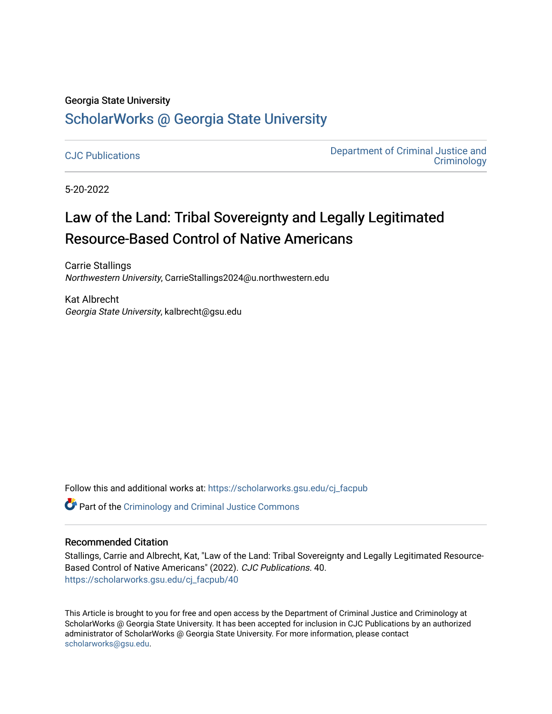## Georgia State University

# [ScholarWorks @ Georgia State University](https://scholarworks.gsu.edu/)

[CJC Publications](https://scholarworks.gsu.edu/cj_facpub) [Department of Criminal Justice and](https://scholarworks.gsu.edu/cj)  **Criminology** 

5-20-2022

# Law of the Land: Tribal Sovereignty and Legally Legitimated Resource-Based Control of Native Americans

Carrie Stallings Northwestern University, CarrieStallings2024@u.northwestern.edu

Kat Albrecht Georgia State University, kalbrecht@gsu.edu

Follow this and additional works at: [https://scholarworks.gsu.edu/cj\\_facpub](https://scholarworks.gsu.edu/cj_facpub?utm_source=scholarworks.gsu.edu%2Fcj_facpub%2F40&utm_medium=PDF&utm_campaign=PDFCoverPages)

Part of the [Criminology and Criminal Justice Commons](https://network.bepress.com/hgg/discipline/367?utm_source=scholarworks.gsu.edu%2Fcj_facpub%2F40&utm_medium=PDF&utm_campaign=PDFCoverPages)

#### Recommended Citation

Stallings, Carrie and Albrecht, Kat, "Law of the Land: Tribal Sovereignty and Legally Legitimated Resource-Based Control of Native Americans" (2022). CJC Publications. 40. [https://scholarworks.gsu.edu/cj\\_facpub/40](https://scholarworks.gsu.edu/cj_facpub/40?utm_source=scholarworks.gsu.edu%2Fcj_facpub%2F40&utm_medium=PDF&utm_campaign=PDFCoverPages) 

This Article is brought to you for free and open access by the Department of Criminal Justice and Criminology at ScholarWorks @ Georgia State University. It has been accepted for inclusion in CJC Publications by an authorized administrator of ScholarWorks @ Georgia State University. For more information, please contact [scholarworks@gsu.edu.](mailto:scholarworks@gsu.edu)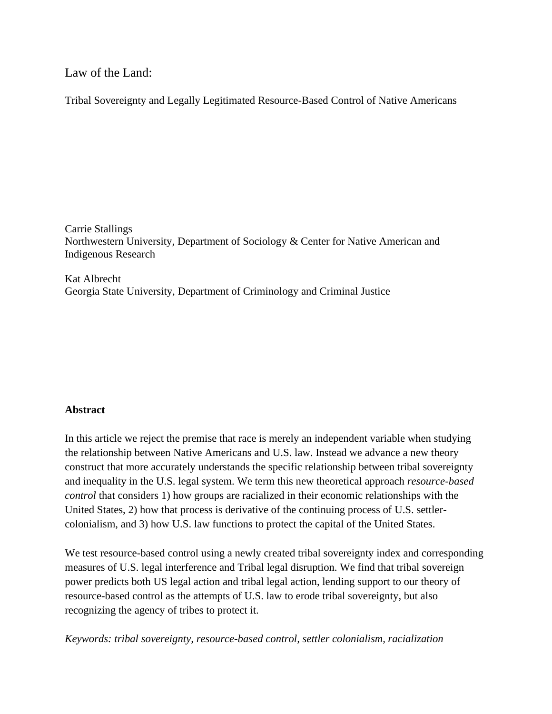Law of the Land:

Tribal Sovereignty and Legally Legitimated Resource-Based Control of Native Americans

Carrie Stallings Northwestern University, Department of Sociology & Center for Native American and Indigenous Research

Kat Albrecht Georgia State University, Department of Criminology and Criminal Justice

# **Abstract**

In this article we reject the premise that race is merely an independent variable when studying the relationship between Native Americans and U.S. law. Instead we advance a new theory construct that more accurately understands the specific relationship between tribal sovereignty and inequality in the U.S. legal system. We term this new theoretical approach *resource-based control* that considers 1) how groups are racialized in their economic relationships with the United States, 2) how that process is derivative of the continuing process of U.S. settlercolonialism, and 3) how U.S. law functions to protect the capital of the United States.

We test resource-based control using a newly created tribal sovereignty index and corresponding measures of U.S. legal interference and Tribal legal disruption. We find that tribal sovereign power predicts both US legal action and tribal legal action, lending support to our theory of resource-based control as the attempts of U.S. law to erode tribal sovereignty, but also recognizing the agency of tribes to protect it.

*Keywords: tribal sovereignty, resource-based control, settler colonialism, racialization*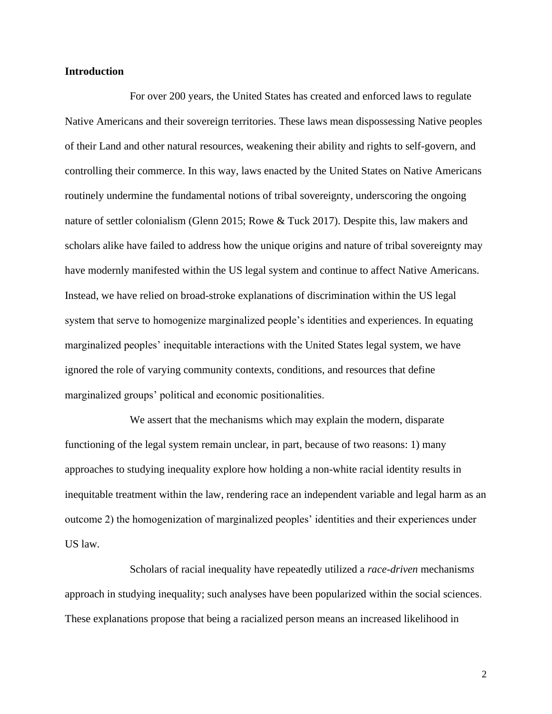# **Introduction**

For over 200 years, the United States has created and enforced laws to regulate Native Americans and their sovereign territories. These laws mean dispossessing Native peoples of their Land and other natural resources, weakening their ability and rights to self-govern, and controlling their commerce. In this way, laws enacted by the United States on Native Americans routinely undermine the fundamental notions of tribal sovereignty, underscoring the ongoing nature of settler colonialism (Glenn 2015; Rowe & Tuck 2017). Despite this, law makers and scholars alike have failed to address how the unique origins and nature of tribal sovereignty may have modernly manifested within the US legal system and continue to affect Native Americans. Instead, we have relied on broad-stroke explanations of discrimination within the US legal system that serve to homogenize marginalized people's identities and experiences. In equating marginalized peoples' inequitable interactions with the United States legal system, we have ignored the role of varying community contexts, conditions, and resources that define marginalized groups' political and economic positionalities.

We assert that the mechanisms which may explain the modern, disparate functioning of the legal system remain unclear, in part, because of two reasons: 1) many approaches to studying inequality explore how holding a non-white racial identity results in inequitable treatment within the law, rendering race an independent variable and legal harm as an outcome 2) the homogenization of marginalized peoples' identities and their experiences under US law.

Scholars of racial inequality have repeatedly utilized a *race-driven* mechanism*s*  approach in studying inequality; such analyses have been popularized within the social sciences. These explanations propose that being a racialized person means an increased likelihood in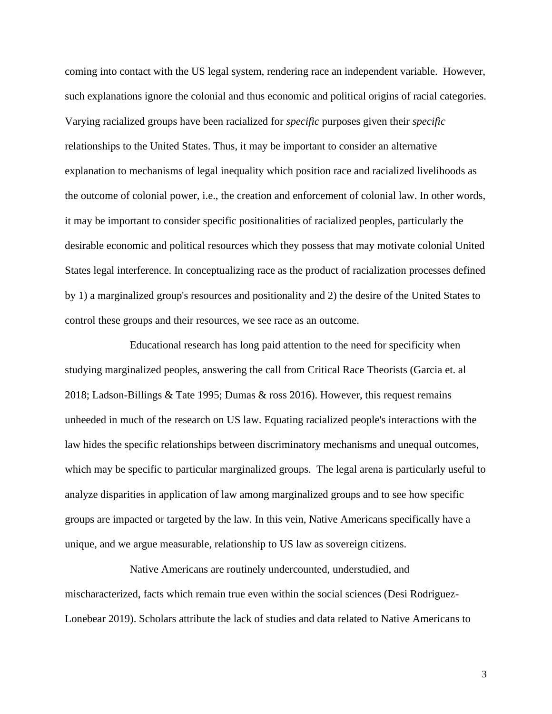coming into contact with the US legal system, rendering race an independent variable. However, such explanations ignore the colonial and thus economic and political origins of racial categories. Varying racialized groups have been racialized for *specific* purposes given their *specific*  relationships to the United States. Thus, it may be important to consider an alternative explanation to mechanisms of legal inequality which position race and racialized livelihoods as the outcome of colonial power, i.e., the creation and enforcement of colonial law. In other words, it may be important to consider specific positionalities of racialized peoples, particularly the desirable economic and political resources which they possess that may motivate colonial United States legal interference. In conceptualizing race as the product of racialization processes defined by 1) a marginalized group's resources and positionality and 2) the desire of the United States to control these groups and their resources, we see race as an outcome.

Educational research has long paid attention to the need for specificity when studying marginalized peoples, answering the call from Critical Race Theorists (Garcia et. al 2018; Ladson-Billings & Tate 1995; Dumas & ross 2016). However, this request remains unheeded in much of the research on US law. Equating racialized people's interactions with the law hides the specific relationships between discriminatory mechanisms and unequal outcomes, which may be specific to particular marginalized groups. The legal arena is particularly useful to analyze disparities in application of law among marginalized groups and to see how specific groups are impacted or targeted by the law. In this vein, Native Americans specifically have a unique, and we argue measurable, relationship to US law as sovereign citizens.

Native Americans are routinely undercounted, understudied, and mischaracterized, facts which remain true even within the social sciences (Desi Rodriguez-Lonebear 2019). Scholars attribute the lack of studies and data related to Native Americans to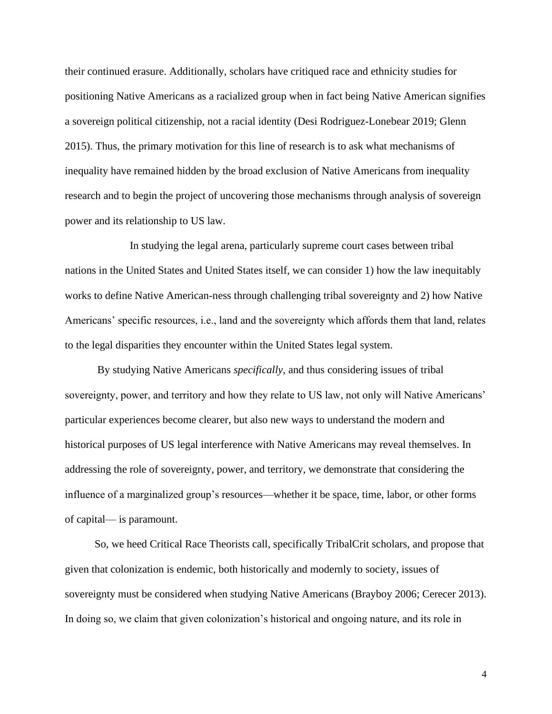their continued erasure. Additionally, scholars have critiqued race and ethnicity studies for positioning Native Americans as a racialized group when in fact being Native American signifies a sovereign political citizenship, not a racial identity (Desi Rodriguez-Lonebear 2019; Glenn 2015). Thus, the primary motivation for this line of research is to ask what mechanisms of inequality have remained hidden by the broad exclusion of Native Americans from inequality research and to begin the project of uncovering those mechanisms through analysis of sovereign power and its relationship to US law.

In studying the legal arena, particularly supreme court cases between tribal nations in the United States and United States itself, we can consider 1) how the law inequitably works to define Native American-ness through challenging tribal sovereignty and 2) how Native Americans' specific resources, i.e., land and the sovereignty which affords them that land, relates to the legal disparities they encounter within the United States legal system.

By studying Native Americans *specifically,* and thus considering issues of tribal sovereignty, power, and territory and how they relate to US law, not only will Native Americans' particular experiences become clearer, but also new ways to understand the modern and historical purposes of US legal interference with Native Americans may reveal themselves. In addressing the role of sovereignty, power, and territory, we demonstrate that considering the influence of a marginalized group's resources—whether it be space, time, labor, or other forms of capital— is paramount.

 So, we heed Critical Race Theorists call, specifically TribalCrit scholars, and propose that given that colonization is endemic, both historically and modernly to society, issues of sovereignty must be considered when studying Native Americans (Brayboy 2006; Cerecer 2013). In doing so, we claim that given colonization's historical and ongoing nature, and its role in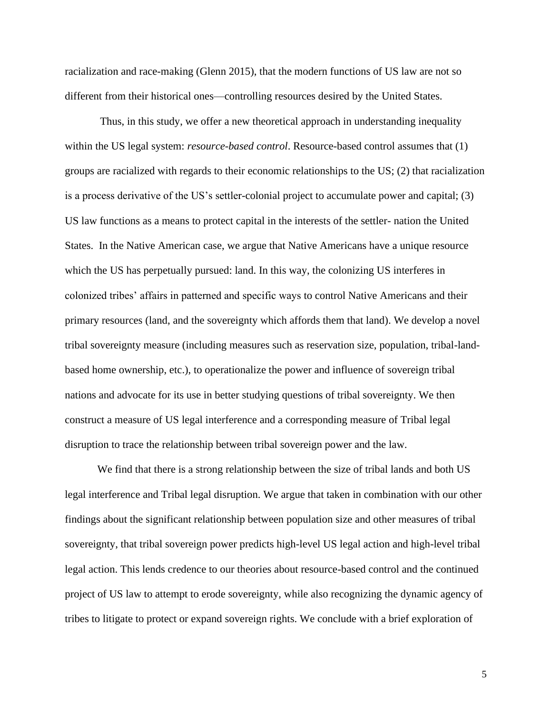racialization and race-making (Glenn 2015), that the modern functions of US law are not so different from their historical ones—controlling resources desired by the United States.

Thus, in this study, we offer a new theoretical approach in understanding inequality within the US legal system: *resource-based control*. Resource-based control assumes that (1) groups are racialized with regards to their economic relationships to the US; (2) that racialization is a process derivative of the US's settler-colonial project to accumulate power and capital; (3) US law functions as a means to protect capital in the interests of the settler- nation the United States. In the Native American case, we argue that Native Americans have a unique resource which the US has perpetually pursued: land. In this way, the colonizing US interferes in colonized tribes' affairs in patterned and specific ways to control Native Americans and their primary resources (land, and the sovereignty which affords them that land). We develop a novel tribal sovereignty measure (including measures such as reservation size, population, tribal-landbased home ownership, etc.), to operationalize the power and influence of sovereign tribal nations and advocate for its use in better studying questions of tribal sovereignty. We then construct a measure of US legal interference and a corresponding measure of Tribal legal disruption to trace the relationship between tribal sovereign power and the law.

We find that there is a strong relationship between the size of tribal lands and both US legal interference and Tribal legal disruption. We argue that taken in combination with our other findings about the significant relationship between population size and other measures of tribal sovereignty, that tribal sovereign power predicts high-level US legal action and high-level tribal legal action. This lends credence to our theories about resource-based control and the continued project of US law to attempt to erode sovereignty, while also recognizing the dynamic agency of tribes to litigate to protect or expand sovereign rights. We conclude with a brief exploration of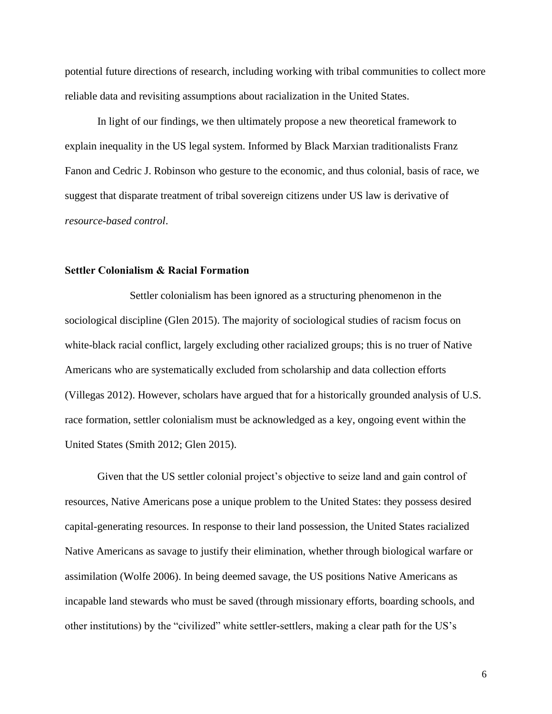potential future directions of research, including working with tribal communities to collect more reliable data and revisiting assumptions about racialization in the United States.

In light of our findings, we then ultimately propose a new theoretical framework to explain inequality in the US legal system. Informed by Black Marxian traditionalists Franz Fanon and Cedric J. Robinson who gesture to the economic, and thus colonial, basis of race, we suggest that disparate treatment of tribal sovereign citizens under US law is derivative of *resource-based control*.

#### **Settler Colonialism & Racial Formation**

Settler colonialism has been ignored as a structuring phenomenon in the sociological discipline (Glen 2015). The majority of sociological studies of racism focus on white-black racial conflict, largely excluding other racialized groups; this is no truer of Native Americans who are systematically excluded from scholarship and data collection efforts (Villegas 2012). However, scholars have argued that for a historically grounded analysis of U.S. race formation, settler colonialism must be acknowledged as a key, ongoing event within the United States (Smith 2012; Glen 2015).

Given that the US settler colonial project's objective to seize land and gain control of resources, Native Americans pose a unique problem to the United States: they possess desired capital-generating resources. In response to their land possession, the United States racialized Native Americans as savage to justify their elimination, whether through biological warfare or assimilation (Wolfe 2006). In being deemed savage, the US positions Native Americans as incapable land stewards who must be saved (through missionary efforts, boarding schools, and other institutions) by the "civilized" white settler-settlers, making a clear path for the US's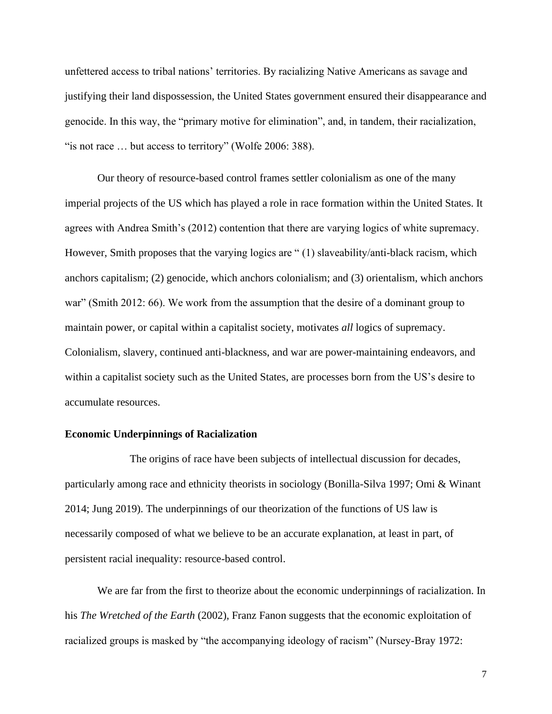unfettered access to tribal nations' territories. By racializing Native Americans as savage and justifying their land dispossession, the United States government ensured their disappearance and genocide. In this way, the "primary motive for elimination", and, in tandem, their racialization, "is not race ... but access to territory" (Wolfe 2006: 388).

Our theory of resource-based control frames settler colonialism as one of the many imperial projects of the US which has played a role in race formation within the United States. It agrees with Andrea Smith's (2012) contention that there are varying logics of white supremacy. However, Smith proposes that the varying logics are " (1) slaveability/anti-black racism, which anchors capitalism; (2) genocide, which anchors colonialism; and (3) orientalism, which anchors war" (Smith 2012: 66). We work from the assumption that the desire of a dominant group to maintain power, or capital within a capitalist society, motivates *all* logics of supremacy. Colonialism, slavery, continued anti-blackness, and war are power-maintaining endeavors, and within a capitalist society such as the United States, are processes born from the US's desire to accumulate resources.

#### **Economic Underpinnings of Racialization**

The origins of race have been subjects of intellectual discussion for decades, particularly among race and ethnicity theorists in sociology (Bonilla-Silva 1997; Omi & Winant 2014; Jung 2019). The underpinnings of our theorization of the functions of US law is necessarily composed of what we believe to be an accurate explanation, at least in part, of persistent racial inequality: resource-based control.

We are far from the first to theorize about the economic underpinnings of racialization. In his *The Wretched of the Earth* (2002), Franz Fanon suggests that the economic exploitation of racialized groups is masked by "the accompanying ideology of racism" (Nursey-Bray 1972: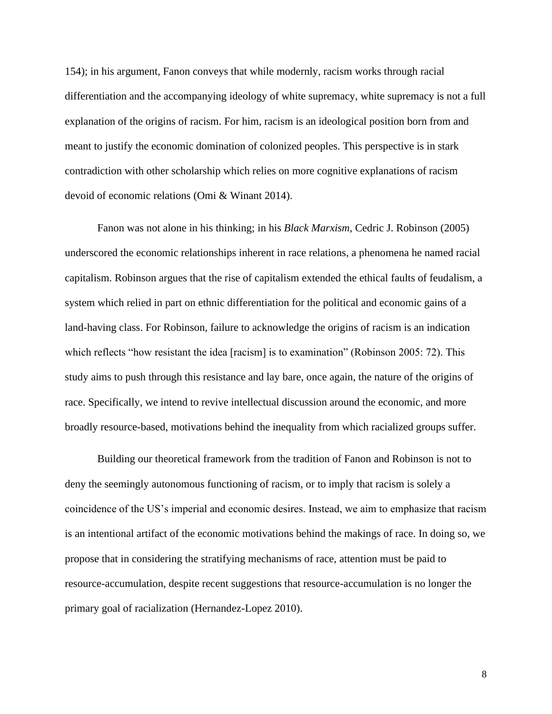154); in his argument, Fanon conveys that while modernly, racism works through racial differentiation and the accompanying ideology of white supremacy, white supremacy is not a full explanation of the origins of racism. For him, racism is an ideological position born from and meant to justify the economic domination of colonized peoples. This perspective is in stark contradiction with other scholarship which relies on more cognitive explanations of racism devoid of economic relations (Omi & Winant 2014).

Fanon was not alone in his thinking; in his *Black Marxism,* Cedric J. Robinson (2005) underscored the economic relationships inherent in race relations, a phenomena he named racial capitalism. Robinson argues that the rise of capitalism extended the ethical faults of feudalism, a system which relied in part on ethnic differentiation for the political and economic gains of a land-having class. For Robinson, failure to acknowledge the origins of racism is an indication which reflects "how resistant the idea [racism] is to examination" (Robinson 2005: 72). This study aims to push through this resistance and lay bare, once again, the nature of the origins of race. Specifically, we intend to revive intellectual discussion around the economic, and more broadly resource-based, motivations behind the inequality from which racialized groups suffer.

Building our theoretical framework from the tradition of Fanon and Robinson is not to deny the seemingly autonomous functioning of racism, or to imply that racism is solely a coincidence of the US's imperial and economic desires. Instead, we aim to emphasize that racism is an intentional artifact of the economic motivations behind the makings of race. In doing so, we propose that in considering the stratifying mechanisms of race, attention must be paid to resource-accumulation, despite recent suggestions that resource-accumulation is no longer the primary goal of racialization (Hernandez-Lopez 2010).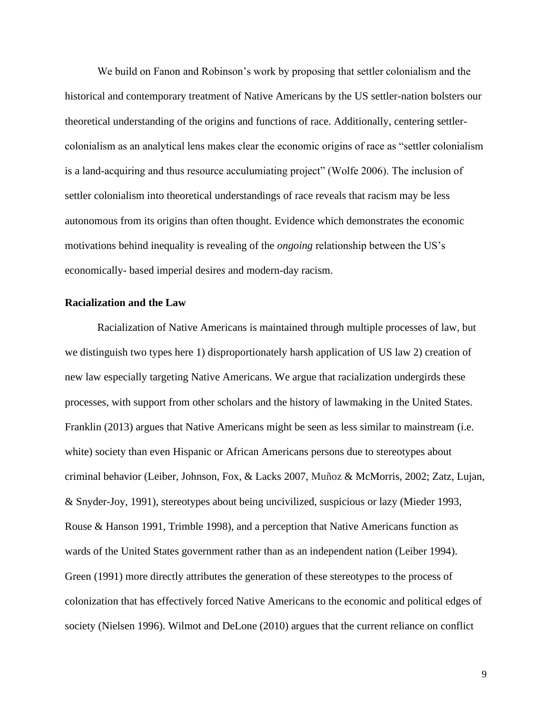We build on Fanon and Robinson's work by proposing that settler colonialism and the historical and contemporary treatment of Native Americans by the US settler-nation bolsters our theoretical understanding of the origins and functions of race. Additionally, centering settlercolonialism as an analytical lens makes clear the economic origins of race as "settler colonialism is a land-acquiring and thus resource acculumiating project" (Wolfe 2006). The inclusion of settler colonialism into theoretical understandings of race reveals that racism may be less autonomous from its origins than often thought. Evidence which demonstrates the economic motivations behind inequality is revealing of the *ongoing* relationship between the US's economically- based imperial desire*s* and modern-day racism.

#### **Racialization and the Law**

Racialization of Native Americans is maintained through multiple processes of law, but we distinguish two types here 1) disproportionately harsh application of US law 2) creation of new law especially targeting Native Americans. We argue that racialization undergirds these processes, with support from other scholars and the history of lawmaking in the United States. Franklin (2013) argues that Native Americans might be seen as less similar to mainstream (i.e. white) society than even Hispanic or African Americans persons due to stereotypes about criminal behavior (Leiber, Johnson, Fox, & Lacks 2007, Muñoz & McMorris, 2002; Zatz, Lujan, & Snyder-Joy, 1991), stereotypes about being uncivilized, suspicious or lazy (Mieder 1993, Rouse & Hanson 1991, Trimble 1998), and a perception that Native Americans function as wards of the United States government rather than as an independent nation (Leiber 1994). Green (1991) more directly attributes the generation of these stereotypes to the process of colonization that has effectively forced Native Americans to the economic and political edges of society (Nielsen 1996). Wilmot and DeLone (2010) argues that the current reliance on conflict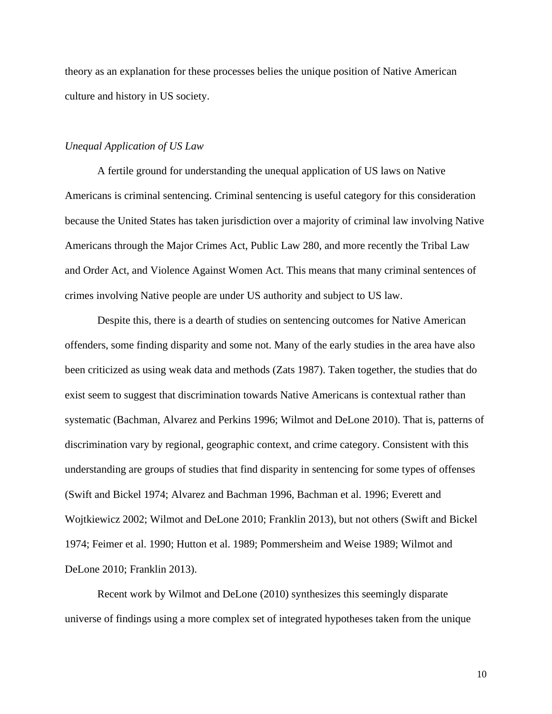theory as an explanation for these processes belies the unique position of Native American culture and history in US society.

#### *Unequal Application of US Law*

A fertile ground for understanding the unequal application of US laws on Native Americans is criminal sentencing. Criminal sentencing is useful category for this consideration because the United States has taken jurisdiction over a majority of criminal law involving Native Americans through the Major Crimes Act, Public Law 280, and more recently the Tribal Law and Order Act, and Violence Against Women Act. This means that many criminal sentences of crimes involving Native people are under US authority and subject to US law.

Despite this, there is a dearth of studies on sentencing outcomes for Native American offenders, some finding disparity and some not. Many of the early studies in the area have also been criticized as using weak data and methods (Zats 1987). Taken together, the studies that do exist seem to suggest that discrimination towards Native Americans is contextual rather than systematic (Bachman, Alvarez and Perkins 1996; Wilmot and DeLone 2010). That is, patterns of discrimination vary by regional, geographic context, and crime category. Consistent with this understanding are groups of studies that find disparity in sentencing for some types of offenses (Swift and Bickel 1974; Alvarez and Bachman 1996, Bachman et al. 1996; Everett and Wojtkiewicz 2002; Wilmot and DeLone 2010; Franklin 2013), but not others (Swift and Bickel 1974; Feimer et al. 1990; Hutton et al. 1989; Pommersheim and Weise 1989; Wilmot and DeLone 2010; Franklin 2013).

Recent work by Wilmot and DeLone (2010) synthesizes this seemingly disparate universe of findings using a more complex set of integrated hypotheses taken from the unique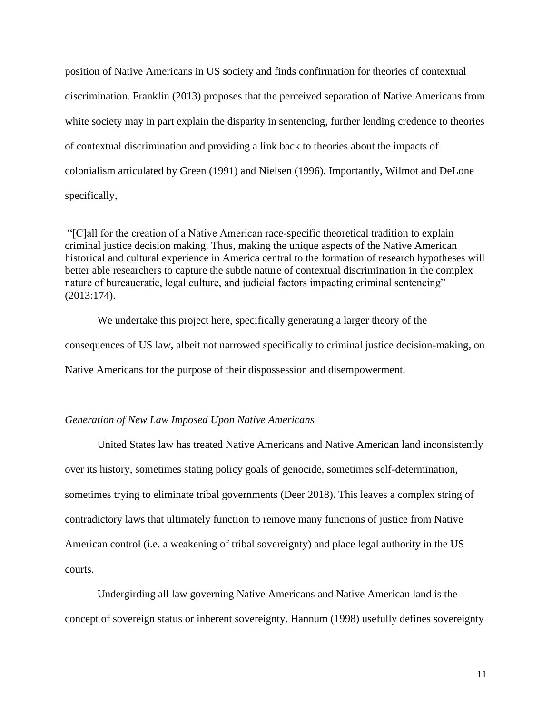position of Native Americans in US society and finds confirmation for theories of contextual discrimination. Franklin (2013) proposes that the perceived separation of Native Americans from white society may in part explain the disparity in sentencing, further lending credence to theories of contextual discrimination and providing a link back to theories about the impacts of colonialism articulated by Green (1991) and Nielsen (1996). Importantly, Wilmot and DeLone specifically,

"[C]all for the creation of a Native American race-specific theoretical tradition to explain criminal justice decision making. Thus, making the unique aspects of the Native American historical and cultural experience in America central to the formation of research hypotheses will better able researchers to capture the subtle nature of contextual discrimination in the complex nature of bureaucratic, legal culture, and judicial factors impacting criminal sentencing" (2013:174).

We undertake this project here, specifically generating a larger theory of the consequences of US law, albeit not narrowed specifically to criminal justice decision-making, on Native Americans for the purpose of their dispossession and disempowerment.

# *Generation of New Law Imposed Upon Native Americans*

United States law has treated Native Americans and Native American land inconsistently over its history, sometimes stating policy goals of genocide, sometimes self-determination, sometimes trying to eliminate tribal governments (Deer 2018). This leaves a complex string of contradictory laws that ultimately function to remove many functions of justice from Native American control (i.e. a weakening of tribal sovereignty) and place legal authority in the US courts.

Undergirding all law governing Native Americans and Native American land is the concept of sovereign status or inherent sovereignty. Hannum (1998) usefully defines sovereignty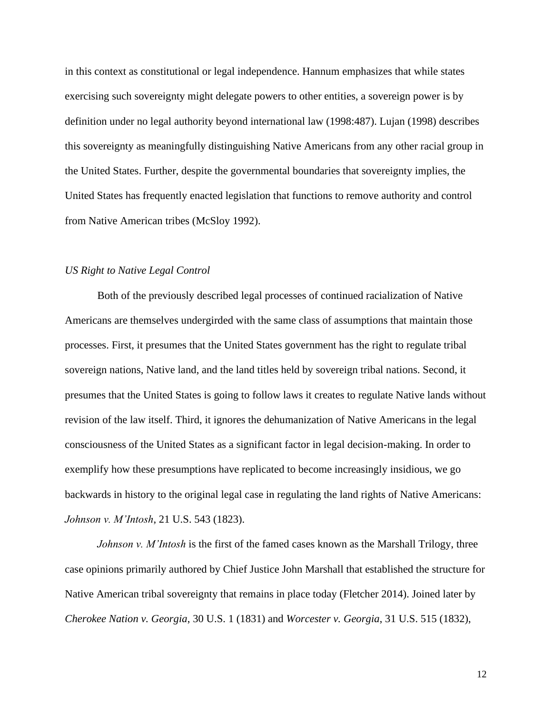in this context as constitutional or legal independence. Hannum emphasizes that while states exercising such sovereignty might delegate powers to other entities, a sovereign power is by definition under no legal authority beyond international law (1998:487). Lujan (1998) describes this sovereignty as meaningfully distinguishing Native Americans from any other racial group in the United States. Further, despite the governmental boundaries that sovereignty implies, the United States has frequently enacted legislation that functions to remove authority and control from Native American tribes (McSloy 1992).

## *US Right to Native Legal Control*

Both of the previously described legal processes of continued racialization of Native Americans are themselves undergirded with the same class of assumptions that maintain those processes. First, it presumes that the United States government has the right to regulate tribal sovereign nations, Native land, and the land titles held by sovereign tribal nations. Second, it presumes that the United States is going to follow laws it creates to regulate Native lands without revision of the law itself. Third, it ignores the dehumanization of Native Americans in the legal consciousness of the United States as a significant factor in legal decision-making. In order to exemplify how these presumptions have replicated to become increasingly insidious, we go backwards in history to the original legal case in regulating the land rights of Native Americans: *Johnson v. M'Intosh*, 21 U.S. 543 (1823).

*Johnson v. M'Intosh* is the first of the famed cases known as the Marshall Trilogy, three case opinions primarily authored by Chief Justice John Marshall that established the structure for Native American tribal sovereignty that remains in place today (Fletcher 2014). Joined later by *Cherokee Nation v. Georgia*, 30 U.S. 1 (1831) and *Worcester v. Georgia*, 31 U.S. 515 (1832),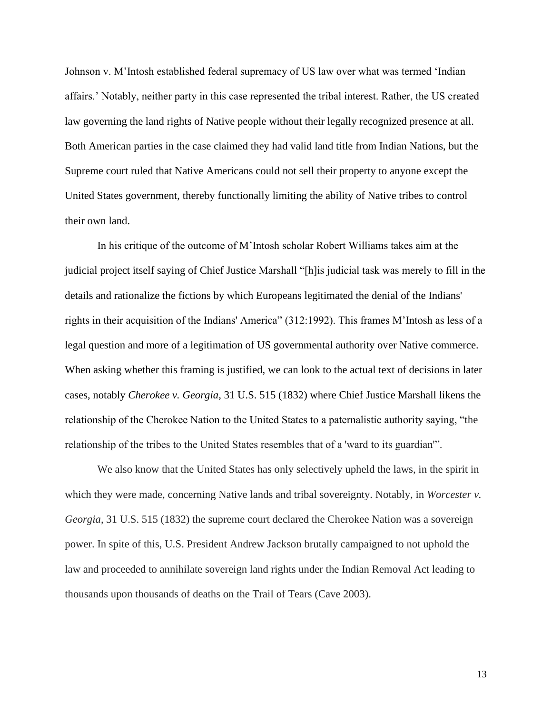Johnson v. M'Intosh established federal supremacy of US law over what was termed 'Indian affairs.' Notably, neither party in this case represented the tribal interest. Rather, the US created law governing the land rights of Native people without their legally recognized presence at all. Both American parties in the case claimed they had valid land title from Indian Nations, but the Supreme court ruled that Native Americans could not sell their property to anyone except the United States government, thereby functionally limiting the ability of Native tribes to control their own land.

In his critique of the outcome of M'Intosh scholar Robert Williams takes aim at the judicial project itself saying of Chief Justice Marshall "[h]is judicial task was merely to fill in the details and rationalize the fictions by which Europeans legitimated the denial of the Indians' rights in their acquisition of the Indians' America" (312:1992). This frames M'Intosh as less of a legal question and more of a legitimation of US governmental authority over Native commerce. When asking whether this framing is justified, we can look to the actual text of decisions in later cases, notably *Cherokee v. Georgia*, 31 U.S. 515 (1832) where Chief Justice Marshall likens the relationship of the Cherokee Nation to the United States to a paternalistic authority saying, "the relationship of the tribes to the United States resembles that of a 'ward to its guardian'".

We also know that the United States has only selectively upheld the laws, in the spirit in which they were made, concerning Native lands and tribal sovereignty. Notably, in *Worcester v. Georgia*, 31 U.S. 515 (1832) the supreme court declared the Cherokee Nation was a sovereign power. In spite of this, U.S. President Andrew Jackson brutally campaigned to not uphold the law and proceeded to annihilate sovereign land rights under the Indian Removal Act leading to thousands upon thousands of deaths on the Trail of Tears (Cave 2003).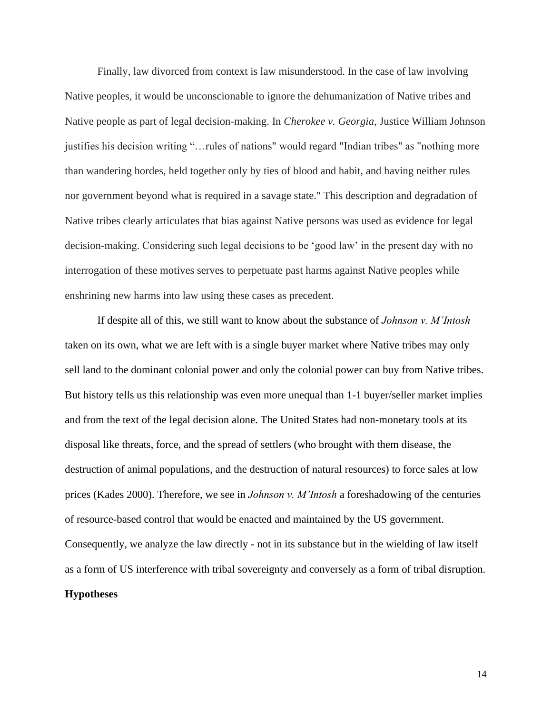Finally, law divorced from context is law misunderstood. In the case of law involving Native peoples, it would be unconscionable to ignore the dehumanization of Native tribes and Native people as part of legal decision-making. In *Cherokee v. Georgia*, Justice William Johnson justifies his decision writing "…rules of nations" would regard "Indian tribes" as "nothing more than wandering hordes, held together only by ties of blood and habit, and having neither rules nor government beyond what is required in a savage state." This description and degradation of Native tribes clearly articulates that bias against Native persons was used as evidence for legal decision-making. Considering such legal decisions to be 'good law' in the present day with no interrogation of these motives serves to perpetuate past harms against Native peoples while enshrining new harms into law using these cases as precedent.

If despite all of this, we still want to know about the substance of *Johnson v. M'Intosh*  taken on its own, what we are left with is a single buyer market where Native tribes may only sell land to the dominant colonial power and only the colonial power can buy from Native tribes. But history tells us this relationship was even more unequal than 1-1 buyer/seller market implies and from the text of the legal decision alone. The United States had non-monetary tools at its disposal like threats, force, and the spread of settlers (who brought with them disease, the destruction of animal populations, and the destruction of natural resources) to force sales at low prices (Kades 2000). Therefore, we see in *Johnson v. M'Intosh* a foreshadowing of the centuries of resource-based control that would be enacted and maintained by the US government. Consequently, we analyze the law directly - not in its substance but in the wielding of law itself as a form of US interference with tribal sovereignty and conversely as a form of tribal disruption. **Hypotheses**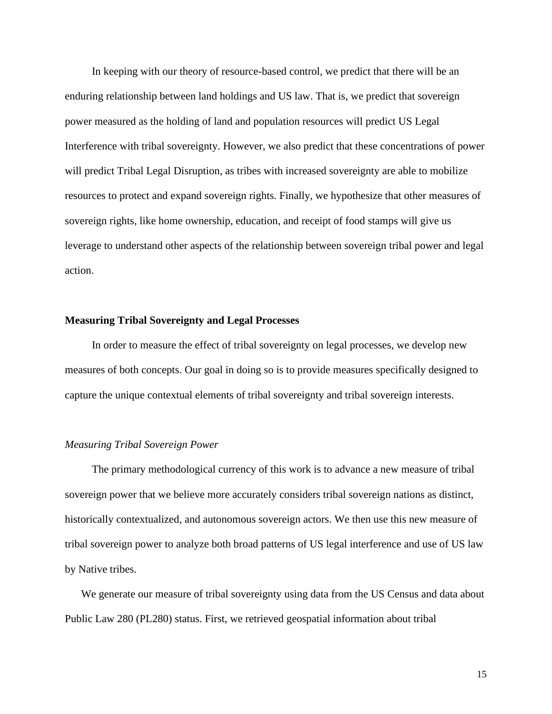In keeping with our theory of resource-based control, we predict that there will be an enduring relationship between land holdings and US law. That is, we predict that sovereign power measured as the holding of land and population resources will predict US Legal Interference with tribal sovereignty. However, we also predict that these concentrations of power will predict Tribal Legal Disruption, as tribes with increased sovereignty are able to mobilize resources to protect and expand sovereign rights. Finally, we hypothesize that other measures of sovereign rights, like home ownership, education, and receipt of food stamps will give us leverage to understand other aspects of the relationship between sovereign tribal power and legal action.

#### **Measuring Tribal Sovereignty and Legal Processes**

In order to measure the effect of tribal sovereignty on legal processes, we develop new measures of both concepts. Our goal in doing so is to provide measures specifically designed to capture the unique contextual elements of tribal sovereignty and tribal sovereign interests.

#### *Measuring Tribal Sovereign Power*

 The primary methodological currency of this work is to advance a new measure of tribal sovereign power that we believe more accurately considers tribal sovereign nations as distinct, historically contextualized, and autonomous sovereign actors. We then use this new measure of tribal sovereign power to analyze both broad patterns of US legal interference and use of US law by Native tribes.

 We generate our measure of tribal sovereignty using data from the US Census and data about Public Law 280 (PL280) status. First, we retrieved geospatial information about tribal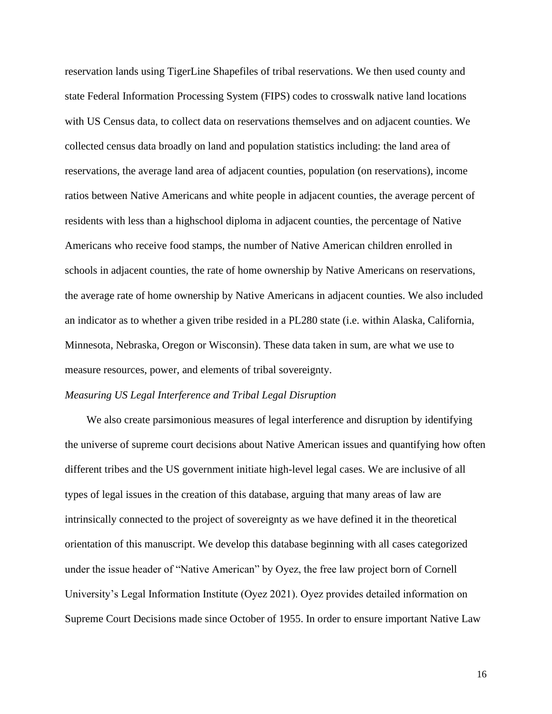reservation lands using TigerLine Shapefiles of tribal reservations. We then used county and state Federal Information Processing System (FIPS) codes to crosswalk native land locations with US Census data, to collect data on reservations themselves and on adjacent counties. We collected census data broadly on land and population statistics including: the land area of reservations, the average land area of adjacent counties, population (on reservations), income ratios between Native Americans and white people in adjacent counties, the average percent of residents with less than a highschool diploma in adjacent counties, the percentage of Native Americans who receive food stamps, the number of Native American children enrolled in schools in adjacent counties, the rate of home ownership by Native Americans on reservations, the average rate of home ownership by Native Americans in adjacent counties. We also included an indicator as to whether a given tribe resided in a PL280 state (i.e. within Alaska, California, Minnesota, Nebraska, Oregon or Wisconsin). These data taken in sum, are what we use to measure resources, power, and elements of tribal sovereignty.

#### *Measuring US Legal Interference and Tribal Legal Disruption*

 We also create parsimonious measures of legal interference and disruption by identifying the universe of supreme court decisions about Native American issues and quantifying how often different tribes and the US government initiate high-level legal cases. We are inclusive of all types of legal issues in the creation of this database, arguing that many areas of law are intrinsically connected to the project of sovereignty as we have defined it in the theoretical orientation of this manuscript. We develop this database beginning with all cases categorized under the issue header of "Native American" by Oyez, the free law project born of Cornell University's Legal Information Institute (Oyez 2021). Oyez provides detailed information on Supreme Court Decisions made since October of 1955. In order to ensure important Native Law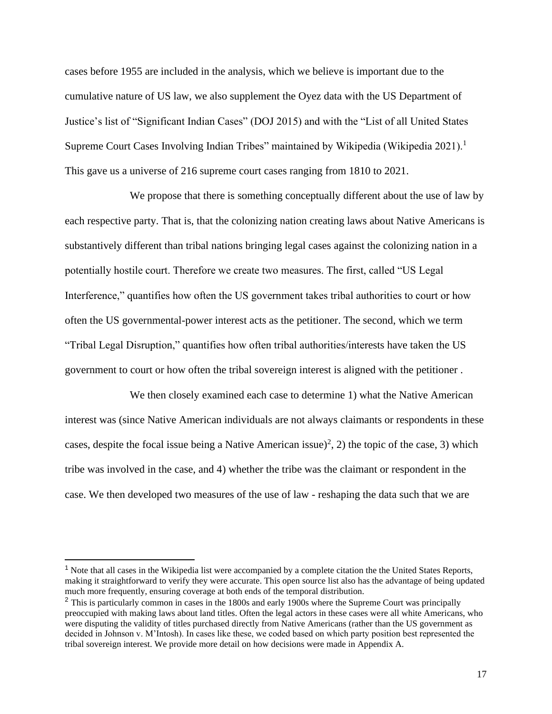cases before 1955 are included in the analysis, which we believe is important due to the cumulative nature of US law, we also supplement the Oyez data with the US Department of Justice's list of "Significant Indian Cases" (DOJ 2015) and with the "List of all United States Supreme Court Cases Involving Indian Tribes" maintained by Wikipedia (Wikipedia 2021).<sup>1</sup> This gave us a universe of 216 supreme court cases ranging from 1810 to 2021.

We propose that there is something conceptually different about the use of law by each respective party. That is, that the colonizing nation creating laws about Native Americans is substantively different than tribal nations bringing legal cases against the colonizing nation in a potentially hostile court. Therefore we create two measures. The first, called "US Legal Interference," quantifies how often the US government takes tribal authorities to court or how often the US governmental-power interest acts as the petitioner. The second, which we term "Tribal Legal Disruption," quantifies how often tribal authorities/interests have taken the US government to court or how often the tribal sovereign interest is aligned with the petitioner .

 We then closely examined each case to determine 1) what the Native American interest was (since Native American individuals are not always claimants or respondents in these cases, despite the focal issue being a Native American issue)<sup>2</sup>, 2) the topic of the case, 3) which tribe was involved in the case, and 4) whether the tribe was the claimant or respondent in the case. We then developed two measures of the use of law - reshaping the data such that we are

<sup>&</sup>lt;sup>1</sup> Note that all cases in the Wikipedia list were accompanied by a complete citation the the United States Reports, making it straightforward to verify they were accurate. This open source list also has the advantage of being updated much more frequently, ensuring coverage at both ends of the temporal distribution.

<sup>&</sup>lt;sup>2</sup> This is particularly common in cases in the 1800s and early 1900s where the Supreme Court was principally preoccupied with making laws about land titles. Often the legal actors in these cases were all white Americans, who were disputing the validity of titles purchased directly from Native Americans (rather than the US government as decided in Johnson v. M'Intosh). In cases like these, we coded based on which party position best represented the tribal sovereign interest. We provide more detail on how decisions were made in Appendix A.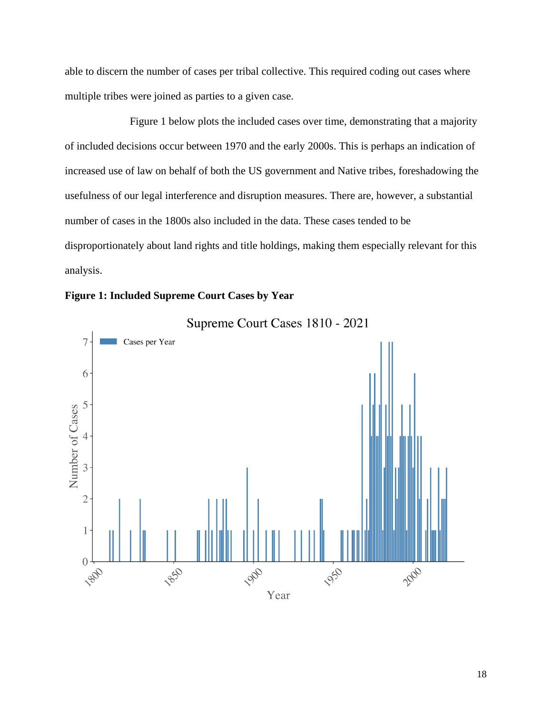able to discern the number of cases per tribal collective. This required coding out cases where multiple tribes were joined as parties to a given case.

Figure 1 below plots the included cases over time, demonstrating that a majority of included decisions occur between 1970 and the early 2000s. This is perhaps an indication of increased use of law on behalf of both the US government and Native tribes, foreshadowing the usefulness of our legal interference and disruption measures. There are, however, a substantial number of cases in the 1800s also included in the data. These cases tended to be disproportionately about land rights and title holdings, making them especially relevant for this analysis.





Supreme Court Cases 1810 - 2021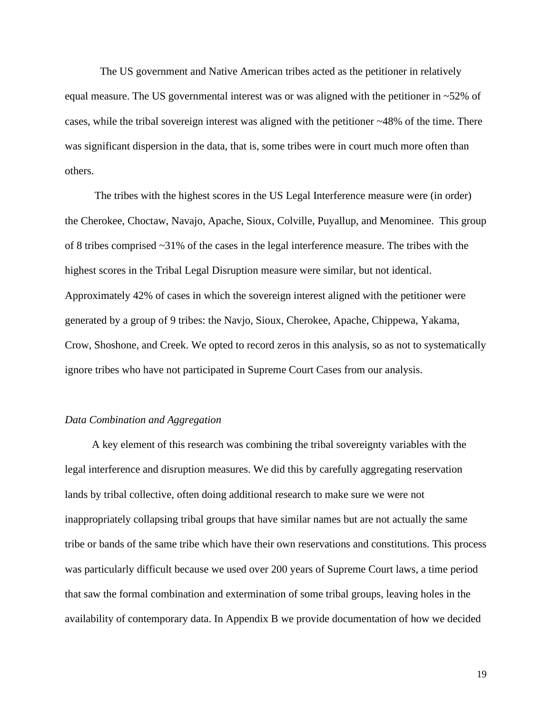The US government and Native American tribes acted as the petitioner in relatively equal measure. The US governmental interest was or was aligned with the petitioner in ~52% of cases, while the tribal sovereign interest was aligned with the petitioner  $\sim$ 48% of the time. There was significant dispersion in the data, that is, some tribes were in court much more often than others.

 The tribes with the highest scores in the US Legal Interference measure were (in order) the Cherokee, Choctaw, Navajo, Apache, Sioux, Colville, Puyallup, and Menominee. This group of 8 tribes comprised ~31% of the cases in the legal interference measure. The tribes with the highest scores in the Tribal Legal Disruption measure were similar, but not identical. Approximately 42% of cases in which the sovereign interest aligned with the petitioner were generated by a group of 9 tribes: the Navjo, Sioux, Cherokee, Apache, Chippewa, Yakama, Crow, Shoshone, and Creek. We opted to record zeros in this analysis, so as not to systematically ignore tribes who have not participated in Supreme Court Cases from our analysis.

#### *Data Combination and Aggregation*

 A key element of this research was combining the tribal sovereignty variables with the legal interference and disruption measures. We did this by carefully aggregating reservation lands by tribal collective, often doing additional research to make sure we were not inappropriately collapsing tribal groups that have similar names but are not actually the same tribe or bands of the same tribe which have their own reservations and constitutions. This process was particularly difficult because we used over 200 years of Supreme Court laws, a time period that saw the formal combination and extermination of some tribal groups, leaving holes in the availability of contemporary data. In Appendix B we provide documentation of how we decided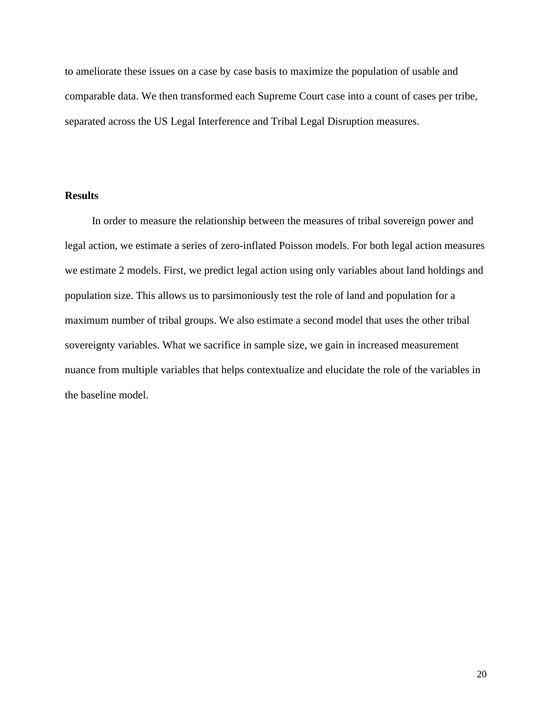to ameliorate these issues on a case by case basis to maximize the population of usable and comparable data. We then transformed each Supreme Court case into a count of cases per tribe, separated across the US Legal Interference and Tribal Legal Disruption measures.

# **Results**

In order to measure the relationship between the measures of tribal sovereign power and legal action, we estimate a series of zero-inflated Poisson models. For both legal action measures we estimate 2 models. First, we predict legal action using only variables about land holdings and population size. This allows us to parsimoniously test the role of land and population for a maximum number of tribal groups. We also estimate a second model that uses the other tribal sovereignty variables. What we sacrifice in sample size, we gain in increased measurement nuance from multiple variables that helps contextualize and elucidate the role of the variables in the baseline model.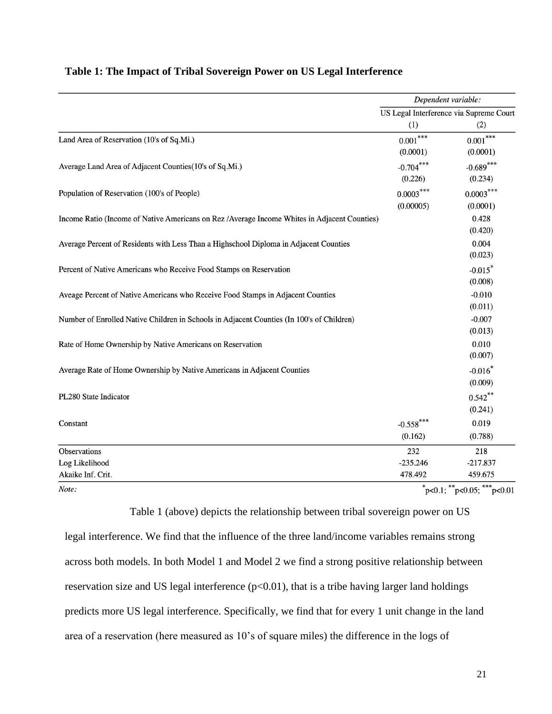|                                                                                               | Dependent variable:<br>US Legal Interference via Supreme Court |                         |
|-----------------------------------------------------------------------------------------------|----------------------------------------------------------------|-------------------------|
|                                                                                               |                                                                |                         |
|                                                                                               | (1)                                                            | (2)                     |
| Land Area of Reservation (10's of Sq.Mi.)                                                     | $0.001^{\ast\ast\ast}$<br>(0.0001)                             | $0.001***$<br>(0.0001)  |
| Average Land Area of Adjacent Counties(10's of Sq.Mi.)                                        | $-0.704***$<br>(0.226)                                         | $-0.689***$<br>(0.234)  |
| Population of Reservation (100's of People)                                                   | $0.0003***$<br>(0.00005)                                       | $0.0003***$<br>(0.0001) |
| Income Ratio (Income of Native Americans on Rez / Average Income Whites in Adjacent Counties) |                                                                | 0.428<br>(0.420)        |
| Average Percent of Residents with Less Than a Highschool Diploma in Adjacent Counties         |                                                                | 0.004<br>(0.023)        |
| Percent of Native Americans who Receive Food Stamps on Reservation                            |                                                                | $-0.015$ *<br>(0.008)   |
| Aveage Percent of Native Americans who Receive Food Stamps in Adjacent Counties               |                                                                | $-0.010$<br>(0.011)     |
| Number of Enrolled Native Children in Schools in Adjacent Counties (In 100's of Children)     |                                                                | $-0.007$<br>(0.013)     |
| Rate of Home Ownership by Native Americans on Reservation                                     |                                                                | 0.010<br>(0.007)        |
| Average Rate of Home Ownership by Native Americans in Adjacent Counties                       |                                                                | $-0.016*$<br>(0.009)    |
| PL280 State Indicator                                                                         |                                                                | $0.542***$<br>(0.241)   |
| Constant                                                                                      | $-0.558$ ***<br>(0.162)                                        | 0.019<br>(0.788)        |
| Observations                                                                                  | 232                                                            | 218                     |
| Log Likelihood                                                                                | $-235.246$                                                     | $-217.837$              |
| Akaike Inf. Crit.                                                                             | 478.492                                                        | 459.675                 |
| Note:                                                                                         | $n \le 0.1$ $\cdot$ ** $n \le 0.05$ $\cdot$ *** $n \le 0.01$   |                         |

# **Table 1: The Impact of Tribal Sovereign Power on US Legal Interference**

 $p<0.1$ ;  $p<0.05$ ;  $p<sup>**</sup>$  $^{\ast}$ p<0.01

Table 1 (above) depicts the relationship between tribal sovereign power on US legal interference. We find that the influence of the three land/income variables remains strong across both models. In both Model 1 and Model 2 we find a strong positive relationship between reservation size and US legal interference  $(p<0.01)$ , that is a tribe having larger land holdings predicts more US legal interference. Specifically, we find that for every 1 unit change in the land area of a reservation (here measured as 10's of square miles) the difference in the logs of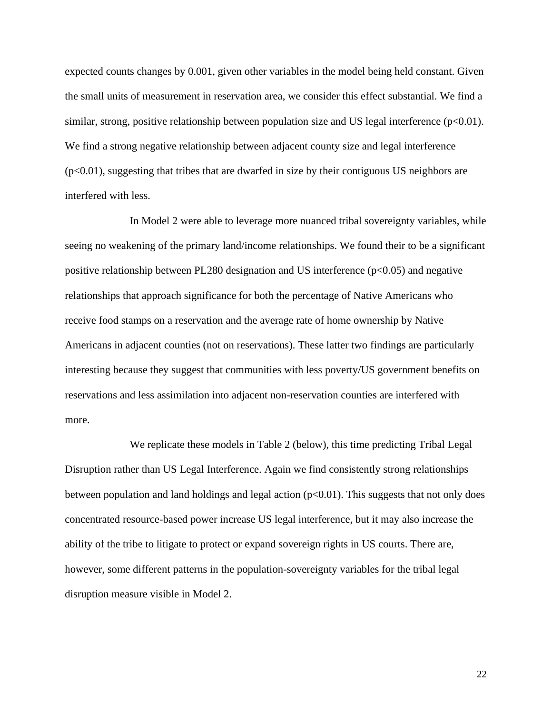expected counts changes by 0.001, given other variables in the model being held constant. Given the small units of measurement in reservation area, we consider this effect substantial. We find a similar, strong, positive relationship between population size and US legal interference  $(p<0.01)$ . We find a strong negative relationship between adjacent county size and legal interference  $(p<0.01)$ , suggesting that tribes that are dwarfed in size by their contiguous US neighbors are interfered with less.

In Model 2 were able to leverage more nuanced tribal sovereignty variables, while seeing no weakening of the primary land/income relationships. We found their to be a significant positive relationship between PL280 designation and US interference  $(p<0.05)$  and negative relationships that approach significance for both the percentage of Native Americans who receive food stamps on a reservation and the average rate of home ownership by Native Americans in adjacent counties (not on reservations). These latter two findings are particularly interesting because they suggest that communities with less poverty/US government benefits on reservations and less assimilation into adjacent non-reservation counties are interfered with more.

We replicate these models in Table 2 (below), this time predicting Tribal Legal Disruption rather than US Legal Interference. Again we find consistently strong relationships between population and land holdings and legal action  $(p<0.01)$ . This suggests that not only does concentrated resource-based power increase US legal interference, but it may also increase the ability of the tribe to litigate to protect or expand sovereign rights in US courts. There are, however, some different patterns in the population-sovereignty variables for the tribal legal disruption measure visible in Model 2.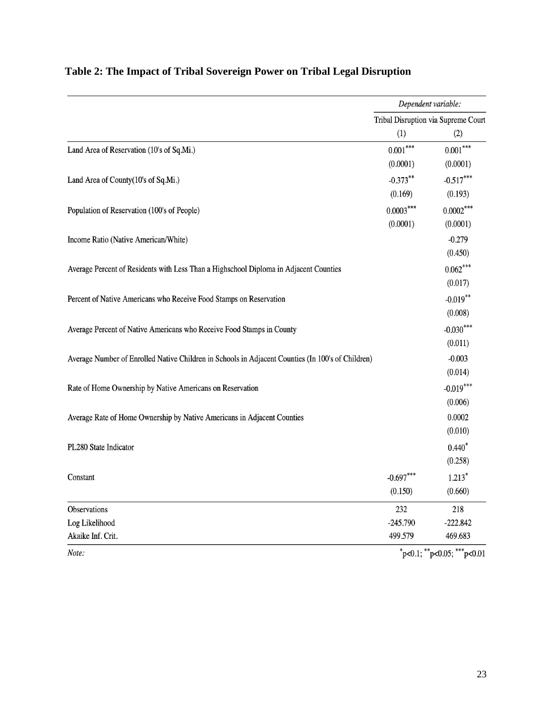|                                                                                                   | Dependent variable:<br>Tribal Disruption via Supreme Court |             |
|---------------------------------------------------------------------------------------------------|------------------------------------------------------------|-------------|
|                                                                                                   |                                                            |             |
|                                                                                                   | (1)                                                        | (2)         |
| Land Area of Reservation (10's of Sq.Mi.)                                                         | $0.001***$                                                 | $0.001***$  |
|                                                                                                   | (0.0001)                                                   | (0.0001)    |
| Land Area of County(10's of Sq.Mi.)                                                               | $-0.373**$                                                 | $-0.517***$ |
|                                                                                                   | (0.169)                                                    | (0.193)     |
| Population of Reservation (100's of People)                                                       | $0.0003***$                                                | $0.0002***$ |
|                                                                                                   | (0.0001)                                                   | (0.0001)    |
| Income Ratio (Native American/White)                                                              |                                                            | $-0.279$    |
|                                                                                                   |                                                            | (0.450)     |
| Average Percent of Residents with Less Than a Highschool Diploma in Adjacent Counties             |                                                            | $0.062***$  |
|                                                                                                   |                                                            | (0.017)     |
| Percent of Native Americans who Receive Food Stamps on Reservation                                |                                                            | $-0.019**$  |
|                                                                                                   |                                                            | (0.008)     |
| Average Percent of Native Americans who Receive Food Stamps in County                             |                                                            | $-0.030***$ |
|                                                                                                   |                                                            | (0.011)     |
| Average Number of Enrolled Native Children in Schools in Adjacent Counties (In 100's of Children) |                                                            | $-0.003$    |
|                                                                                                   |                                                            | (0.014)     |
| Rate of Home Ownership by Native Americans on Reservation                                         |                                                            | $-0.019***$ |
|                                                                                                   |                                                            | (0.006)     |
| Average Rate of Home Ownership by Native Americans in Adjacent Counties                           |                                                            | 0.0002      |
|                                                                                                   |                                                            | (0.010)     |
| PL280 State Indicator                                                                             |                                                            | $0.440*$    |
|                                                                                                   |                                                            | (0.258)     |
| Constant                                                                                          | $-0.697***$                                                | $1.213*$    |
|                                                                                                   | (0.150)                                                    | (0.660)     |
| Observations                                                                                      | 232                                                        | 218         |
| Log Likelihood                                                                                    | $-245.790$                                                 | $-222.842$  |
| Akaike Inf. Crit.                                                                                 | 499.579                                                    | 469.683     |
| Note:                                                                                             | $p<0.1$ ; **p<0.05; ***p<0.01                              |             |

# **Table 2: The Impact of Tribal Sovereign Power on Tribal Legal Disruption**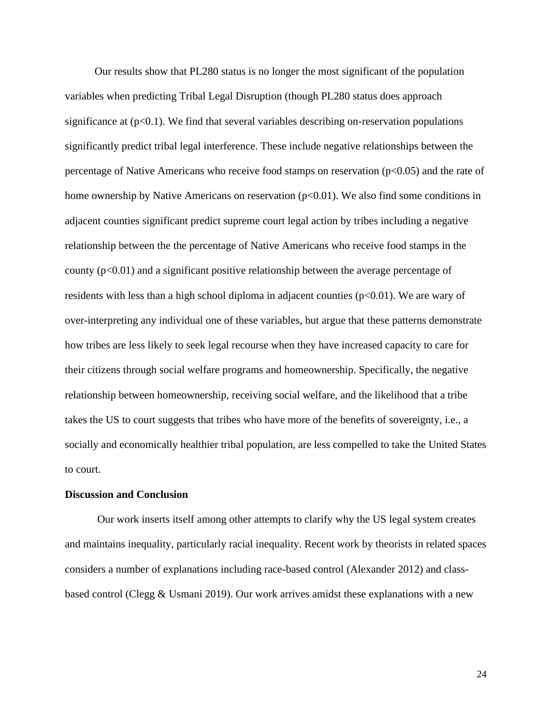Our results show that PL280 status is no longer the most significant of the population variables when predicting Tribal Legal Disruption (though PL280 status does approach significance at  $(p<0.1)$ . We find that several variables describing on-reservation populations significantly predict tribal legal interference. These include negative relationships between the percentage of Native Americans who receive food stamps on reservation  $(p<0.05)$  and the rate of home ownership by Native Americans on reservation (p<0.01). We also find some conditions in adjacent counties significant predict supreme court legal action by tribes including a negative relationship between the the percentage of Native Americans who receive food stamps in the county (p<0.01) and a significant positive relationship between the average percentage of residents with less than a high school diploma in adjacent counties  $(p<0.01)$ . We are wary of over-interpreting any individual one of these variables, but argue that these patterns demonstrate how tribes are less likely to seek legal recourse when they have increased capacity to care for their citizens through social welfare programs and homeownership. Specifically, the negative relationship between homeownership, receiving social welfare, and the likelihood that a tribe takes the US to court suggests that tribes who have more of the benefits of sovereignty, i.e., a socially and economically healthier tribal population, are less compelled to take the United States to court.

#### **Discussion and Conclusion**

Our work inserts itself among other attempts to clarify why the US legal system creates and maintains inequality, particularly racial inequality. Recent work by theorists in related spaces considers a number of explanations including race-based control (Alexander 2012) and classbased control (Clegg & Usmani 2019). Our work arrives amidst these explanations with a new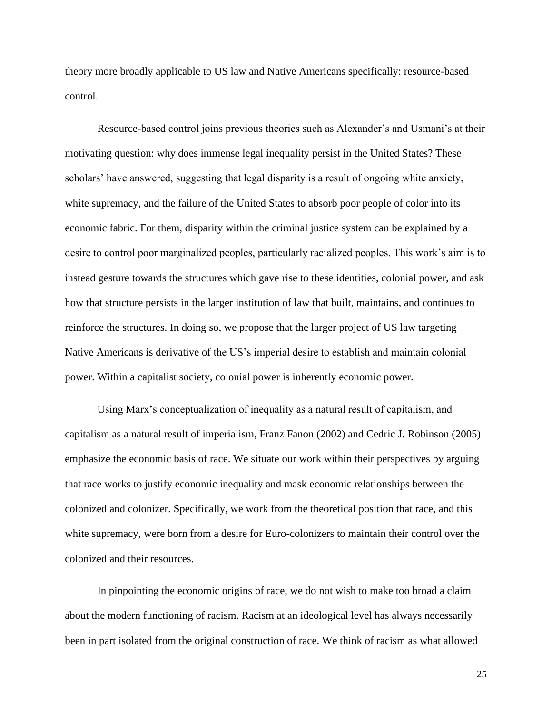theory more broadly applicable to US law and Native Americans specifically: resource-based control.

Resource-based control joins previous theories such as Alexander's and Usmani's at their motivating question: why does immense legal inequality persist in the United States? These scholars' have answered, suggesting that legal disparity is a result of ongoing white anxiety, white supremacy, and the failure of the United States to absorb poor people of color into its economic fabric. For them, disparity within the criminal justice system can be explained by a desire to control poor marginalized peoples, particularly racialized peoples. This work's aim is to instead gesture towards the structures which gave rise to these identities, colonial power, and ask how that structure persists in the larger institution of law that built, maintains, and continues to reinforce the structures. In doing so, we propose that the larger project of US law targeting Native Americans is derivative of the US's imperial desire to establish and maintain colonial power. Within a capitalist society, colonial power is inherently economic power.

Using Marx's conceptualization of inequality as a natural result of capitalism, and capitalism as a natural result of imperialism, Franz Fanon (2002) and Cedric J. Robinson (2005) emphasize the economic basis of race. We situate our work within their perspectives by arguing that race works to justify economic inequality and mask economic relationships between the colonized and colonizer. Specifically, we work from the theoretical position that race, and this white supremacy, were born from a desire for Euro-colonizers to maintain their control over the colonized and their resources.

In pinpointing the economic origins of race, we do not wish to make too broad a claim about the modern functioning of racism. Racism at an ideological level has always necessarily been in part isolated from the original construction of race. We think of racism as what allowed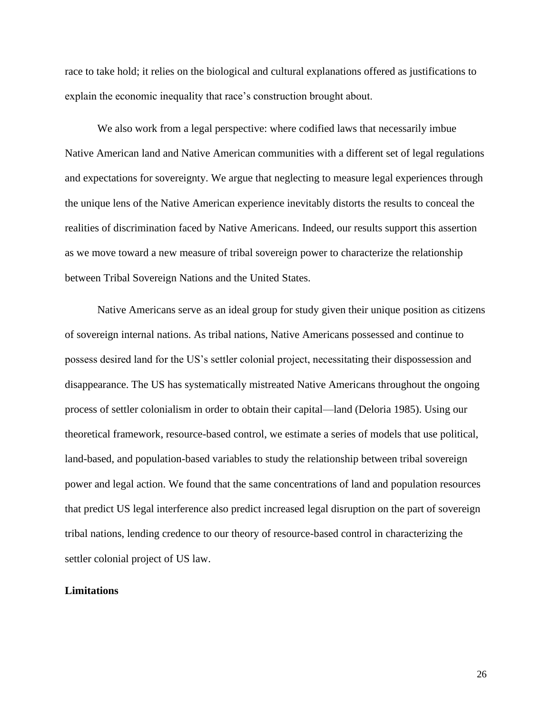race to take hold; it relies on the biological and cultural explanations offered as justifications to explain the economic inequality that race's construction brought about.

We also work from a legal perspective: where codified laws that necessarily imbue Native American land and Native American communities with a different set of legal regulations and expectations for sovereignty. We argue that neglecting to measure legal experiences through the unique lens of the Native American experience inevitably distorts the results to conceal the realities of discrimination faced by Native Americans. Indeed, our results support this assertion as we move toward a new measure of tribal sovereign power to characterize the relationship between Tribal Sovereign Nations and the United States.

Native Americans serve as an ideal group for study given their unique position as citizens of sovereign internal nations. As tribal nations, Native Americans possessed and continue to possess desired land for the US's settler colonial project, necessitating their dispossession and disappearance. The US has systematically mistreated Native Americans throughout the ongoing process of settler colonialism in order to obtain their capital—land (Deloria 1985). Using our theoretical framework, resource-based control, we estimate a series of models that use political, land-based, and population-based variables to study the relationship between tribal sovereign power and legal action. We found that the same concentrations of land and population resources that predict US legal interference also predict increased legal disruption on the part of sovereign tribal nations, lending credence to our theory of resource-based control in characterizing the settler colonial project of US law.

# **Limitations**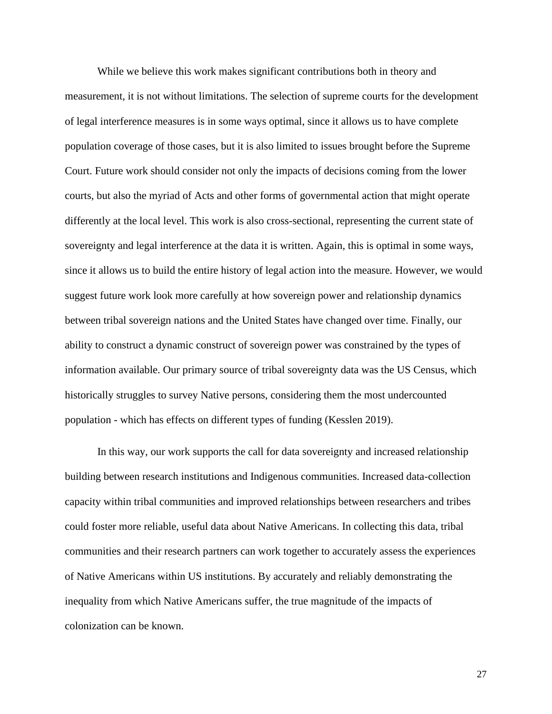While we believe this work makes significant contributions both in theory and measurement, it is not without limitations. The selection of supreme courts for the development of legal interference measures is in some ways optimal, since it allows us to have complete population coverage of those cases, but it is also limited to issues brought before the Supreme Court. Future work should consider not only the impacts of decisions coming from the lower courts, but also the myriad of Acts and other forms of governmental action that might operate differently at the local level. This work is also cross-sectional, representing the current state of sovereignty and legal interference at the data it is written. Again, this is optimal in some ways, since it allows us to build the entire history of legal action into the measure. However, we would suggest future work look more carefully at how sovereign power and relationship dynamics between tribal sovereign nations and the United States have changed over time. Finally, our ability to construct a dynamic construct of sovereign power was constrained by the types of information available. Our primary source of tribal sovereignty data was the US Census, which historically struggles to survey Native persons, considering them the most undercounted population - which has effects on different types of funding (Kesslen 2019).

In this way, our work supports the call for data sovereignty and increased relationship building between research institutions and Indigenous communities. Increased data-collection capacity within tribal communities and improved relationships between researchers and tribes could foster more reliable, useful data about Native Americans. In collecting this data, tribal communities and their research partners can work together to accurately assess the experiences of Native Americans within US institutions. By accurately and reliably demonstrating the inequality from which Native Americans suffer, the true magnitude of the impacts of colonization can be known.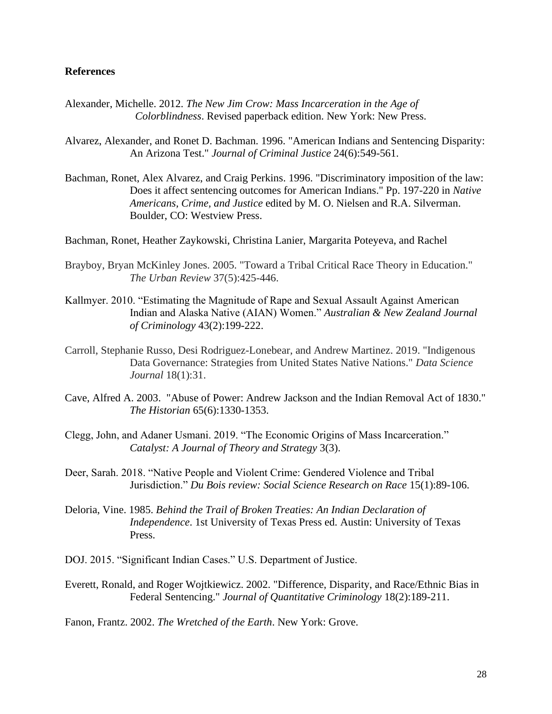# **References**

- Alexander, Michelle. 2012. *The New Jim Crow: Mass Incarceration in the Age of Colorblindness*. Revised paperback edition. New York: New Press.
- Alvarez, Alexander, and Ronet D. Bachman. 1996. "American Indians and Sentencing Disparity: An Arizona Test." *Journal of Criminal Justice* 24(6):549-561.
- Bachman, Ronet, Alex Alvarez, and Craig Perkins. 1996. "Discriminatory imposition of the law: Does it affect sentencing outcomes for American Indians." Pp. 197-220 in *Native Americans, Crime, and Justice* edited by M. O. Nielsen and R.A. Silverman. Boulder, CO: Westview Press.
- Bachman, Ronet, Heather Zaykowski, Christina Lanier, Margarita Poteyeva, and Rachel
- Brayboy, Bryan McKinley Jones. 2005. "Toward a Tribal Critical Race Theory in Education." *The Urban Review* 37(5):425-446.
- Kallmyer. 2010. "Estimating the Magnitude of Rape and Sexual Assault Against American Indian and Alaska Native (AIAN) Women." *Australian & New Zealand Journal of Criminology* 43(2):199-222.
- Carroll, Stephanie Russo, Desi Rodriguez-Lonebear, and Andrew Martinez. 2019. "Indigenous Data Governance: Strategies from United States Native Nations." *Data Science Journal* 18(1):31.
- Cave, Alfred A. 2003. "Abuse of Power: Andrew Jackson and the Indian Removal Act of 1830." *The Historian* 65(6):1330-1353.
- Clegg, John, and Adaner Usmani. 2019. "The Economic Origins of Mass Incarceration." *Catalyst: A Journal of Theory and Strategy* 3(3).
- Deer, Sarah. 2018. "Native People and Violent Crime: Gendered Violence and Tribal Jurisdiction." *Du Bois review: Social Science Research on Race* 15(1):89-106.
- Deloria, Vine. 1985. *Behind the Trail of Broken Treaties: An Indian Declaration of Independence*. 1st University of Texas Press ed. Austin: University of Texas Press.
- DOJ. 2015. "Significant Indian Cases." U.S. Department of Justice.
- Everett, Ronald, and Roger Wojtkiewicz. 2002. "Difference, Disparity, and Race/Ethnic Bias in Federal Sentencing." *Journal of Quantitative Criminology* 18(2):189-211.

Fanon, Frantz. 2002. *The Wretched of the Earth*. New York: Grove.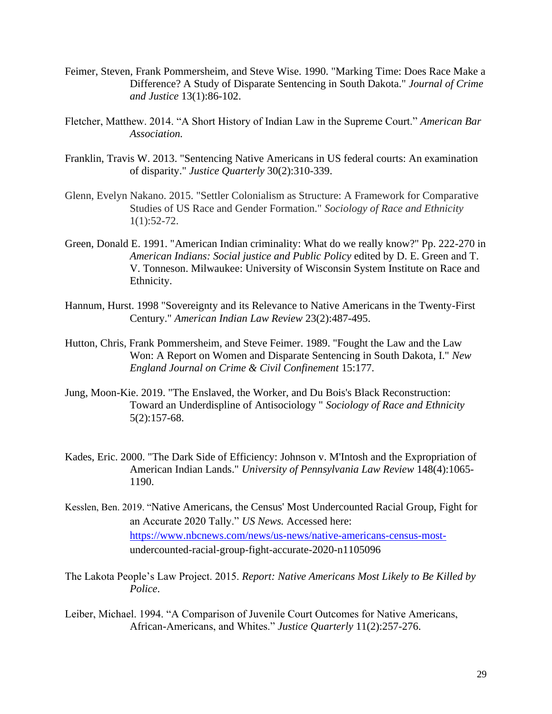- Feimer, Steven, Frank Pommersheim, and Steve Wise. 1990. "Marking Time: Does Race Make a Difference? A Study of Disparate Sentencing in South Dakota." *Journal of Crime and Justice* 13(1):86-102.
- Fletcher, Matthew. 2014. "A Short History of Indian Law in the Supreme Court." *American Bar Association.*
- Franklin, Travis W. 2013. "Sentencing Native Americans in US federal courts: An examination of disparity." *Justice Quarterly* 30(2):310-339.
- Glenn, Evelyn Nakano. 2015. "Settler Colonialism as Structure: A Framework for Comparative Studies of US Race and Gender Formation." *Sociology of Race and Ethnicity*  $1(1):52-72.$
- Green, Donald E. 1991. "American Indian criminality: What do we really know?" Pp. 222-270 in *American Indians: Social justice and Public Policy* edited by D. E. Green and T. V. Tonneson. Milwaukee: University of Wisconsin System Institute on Race and Ethnicity.
- Hannum, Hurst. 1998 "Sovereignty and its Relevance to Native Americans in the Twenty-First Century." *American Indian Law Review* 23(2):487-495.
- Hutton, Chris, Frank Pommersheim, and Steve Feimer. 1989. "Fought the Law and the Law Won: A Report on Women and Disparate Sentencing in South Dakota, I." *New England Journal on Crime & Civil Confinement* 15:177.
- Jung, Moon-Kie. 2019. "The Enslaved, the Worker, and Du Bois's Black Reconstruction: Toward an Underdispline of Antisociology " *Sociology of Race and Ethnicity* 5(2):157-68.
- Kades, Eric. 2000. "The Dark Side of Efficiency: Johnson v. M'Intosh and the Expropriation of American Indian Lands." *University of Pennsylvania Law Review* 148(4):1065- 1190.
- Kesslen, Ben. 2019. "Native Americans, the Census' Most Undercounted Racial Group, Fight for an Accurate 2020 Tally." *US News.* Accessed here: [https://www.nbcnews.com/news/us-news/native-americans-census-most](https://www.nbcnews.com/news/us-news/native-americans-census-most-)undercounted-racial-group-fight-accurate-2020-n1105096
- The Lakota People's Law Project. 2015. *Report: Native Americans Most Likely to Be Killed by Police*.
- Leiber, Michael. 1994. "A Comparison of Juvenile Court Outcomes for Native Americans, African-Americans, and Whites." *Justice Quarterly* 11(2):257-276.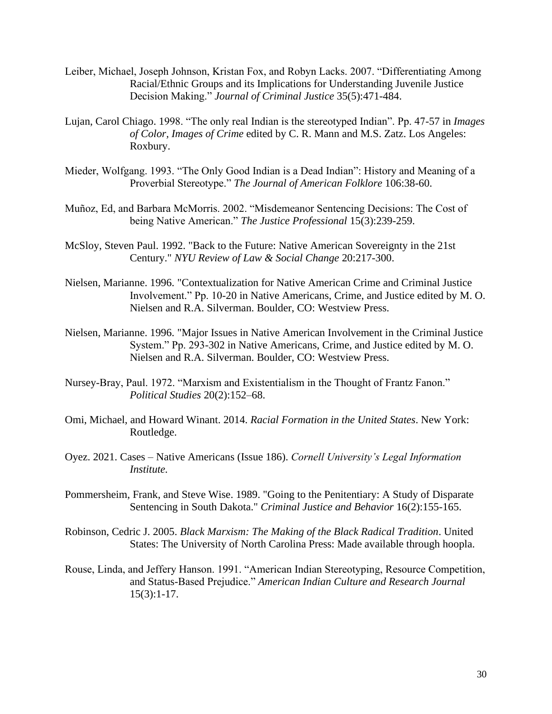- Leiber, Michael, Joseph Johnson, Kristan Fox, and Robyn Lacks. 2007. "Differentiating Among Racial/Ethnic Groups and its Implications for Understanding Juvenile Justice Decision Making." *Journal of Criminal Justice* 35(5):471-484.
- Lujan, Carol Chiago. 1998. "The only real Indian is the stereotyped Indian". Pp. 47-57 in *Images of Color, Images of Crime* edited by C. R. Mann and M.S. Zatz. Los Angeles: Roxbury.
- Mieder, Wolfgang. 1993. "The Only Good Indian is a Dead Indian": History and Meaning of a Proverbial Stereotype." *The Journal of American Folklore* 106:38-60.
- Muñoz, Ed, and Barbara McMorris. 2002. "Misdemeanor Sentencing Decisions: The Cost of being Native American." *The Justice Professional* 15(3):239-259.
- McSloy, Steven Paul. 1992. "Back to the Future: Native American Sovereignty in the 21st Century." *NYU Review of Law & Social Change* 20:217-300.
- Nielsen, Marianne. 1996. "Contextualization for Native American Crime and Criminal Justice Involvement." Pp. 10-20 in Native Americans, Crime, and Justice edited by M. O. Nielsen and R.A. Silverman. Boulder, CO: Westview Press.
- Nielsen, Marianne. 1996. "Major Issues in Native American Involvement in the Criminal Justice System." Pp. 293-302 in Native Americans, Crime, and Justice edited by M. O. Nielsen and R.A. Silverman. Boulder, CO: Westview Press.
- Nursey-Bray, Paul. 1972. "Marxism and Existentialism in the Thought of Frantz Fanon." *Political Studies* 20(2):152–68.
- Omi, Michael, and Howard Winant. 2014. *Racial Formation in the United States*. New York: Routledge.
- Oyez. 2021. Cases Native Americans (Issue 186). *Cornell University's Legal Information Institute.*
- Pommersheim, Frank, and Steve Wise. 1989. "Going to the Penitentiary: A Study of Disparate Sentencing in South Dakota." *Criminal Justice and Behavior* 16(2):155-165.
- Robinson, Cedric J. 2005. *Black Marxism: The Making of the Black Radical Tradition*. United States: The University of North Carolina Press: Made available through hoopla.
- Rouse, Linda, and Jeffery Hanson. 1991. "American Indian Stereotyping, Resource Competition, and Status-Based Prejudice." *American Indian Culture and Research Journal* 15(3):1-17.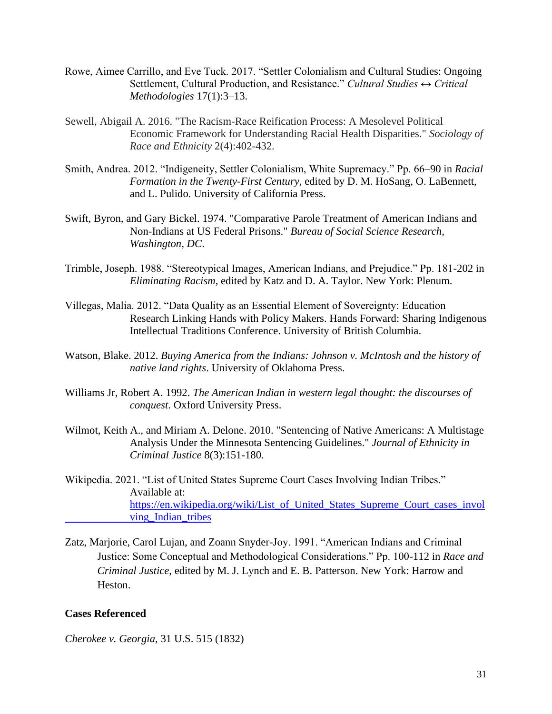- Rowe, Aimee Carrillo, and Eve Tuck. 2017. "Settler Colonialism and Cultural Studies: Ongoing Settlement, Cultural Production, and Resistance." *Cultural Studies ↔ Critical Methodologies* 17(1):3–13.
- Sewell, Abigail A. 2016. "The Racism-Race Reification Process: A Mesolevel Political Economic Framework for Understanding Racial Health Disparities." *Sociology of Race and Ethnicity* 2(4):402-432.
- Smith, Andrea. 2012. "Indigeneity, Settler Colonialism, White Supremacy." Pp. 66–90 in *Racial Formation in the Twenty-First Century*, edited by D. M. HoSang, O. LaBennett, and L. Pulido. University of California Press.
- Swift, Byron, and Gary Bickel. 1974. "Comparative Parole Treatment of American Indians and Non-Indians at US Federal Prisons." *Bureau of Social Science Research, Washington, DC*.
- Trimble, Joseph. 1988. "Stereotypical Images, American Indians, and Prejudice." Pp. 181-202 in *Eliminating Racism*, edited by Katz and D. A. Taylor. New York: Plenum.
- Villegas, Malia. 2012. "Data Quality as an Essential Element of Sovereignty: Education Research Linking Hands with Policy Makers. Hands Forward: Sharing Indigenous Intellectual Traditions Conference. University of British Columbia.
- Watson, Blake. 2012. *Buying America from the Indians: Johnson v. McIntosh and the history of native land rights*. University of Oklahoma Press.
- Williams Jr, Robert A. 1992. *The American Indian in western legal thought: the discourses of conquest*. Oxford University Press.
- Wilmot, Keith A., and Miriam A. Delone. 2010. "Sentencing of Native Americans: A Multistage Analysis Under the Minnesota Sentencing Guidelines." *Journal of Ethnicity in Criminal Justice* 8(3):151-180.
- Wikipedia. 2021. "List of United States Supreme Court Cases Involving Indian Tribes." Available at[:](https://en.wikipedia.org/wiki/List_of_United_States_Supreme_Court_cases_involving_Indian_tribes) [https://en.wikipedia.org/wiki/List\\_of\\_United\\_States\\_Supreme\\_Court\\_cases\\_invol](https://en.wikipedia.org/wiki/List_of_United_States_Supreme_Court_cases_invol%09ving_Indian_tribes) ving Indian tribes
- Zatz, Marjorie, Carol Lujan, and Zoann Snyder-Joy. 1991. "American Indians and Criminal Justice: Some Conceptual and Methodological Considerations." Pp. 100-112 in *Race and Criminal Justice*, edited by M. J. Lynch and E. B. Patterson. New York: Harrow and Heston.

#### **Cases Referenced**

*Cherokee v. Georgia*, 31 U.S. 515 (1832)